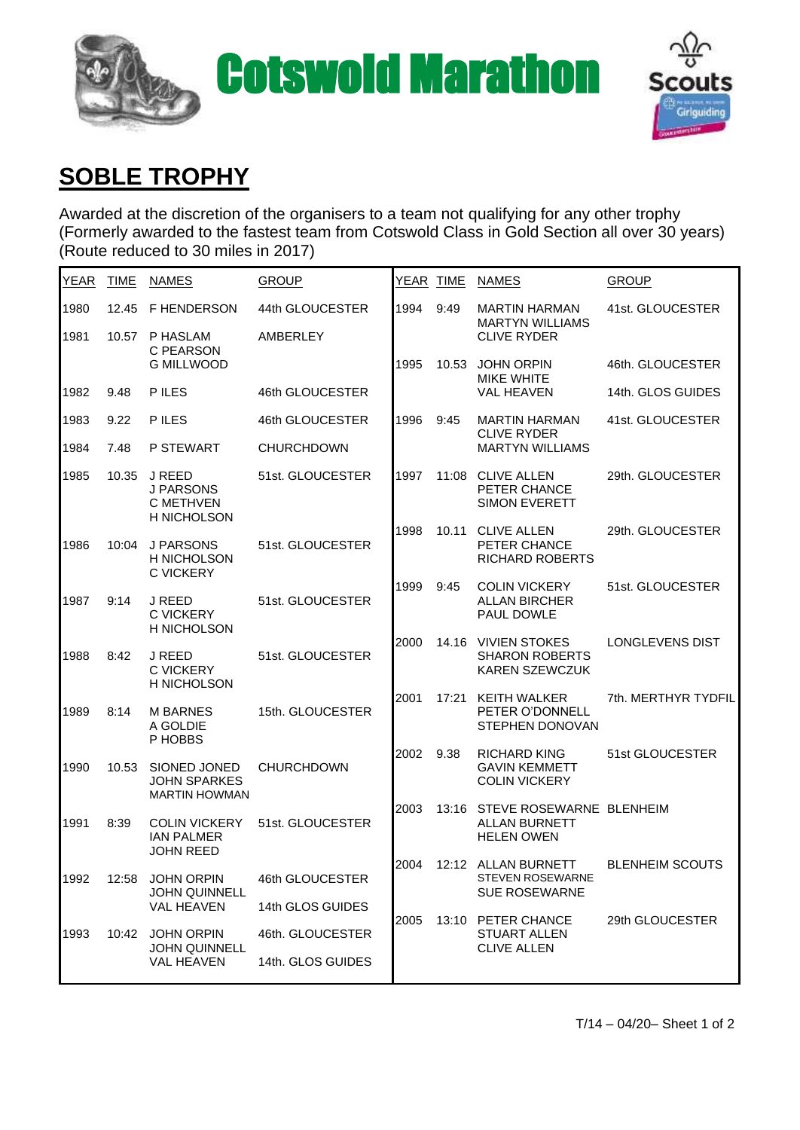



## **SOBLE TROPHY**

Awarded at the discretion of the organisers to a team not qualifying for any other trophy (Formerly awarded to the fastest team from Cotswold Class in Gold Section all over 30 years) (Route reduced to 30 miles in 2017)

| <b>YEAR</b> | <b>TIME</b> | <b>NAMES</b>                                                  | <b>GROUP</b>      | YEAR TIME |       | <b>NAMES</b>                                                           | <b>GROUP</b>           |
|-------------|-------------|---------------------------------------------------------------|-------------------|-----------|-------|------------------------------------------------------------------------|------------------------|
| 1980        | 12.45       | <b>F HENDERSON</b>                                            | 44th GLOUCESTER   | 1994      | 9:49  | <b>MARTIN HARMAN</b><br><b>MARTYN WILLIAMS</b><br><b>CLIVE RYDER</b>   | 41st. GLOUCESTER       |
| 1981        | 10.57       | P HASLAM<br>C PEARSON<br><b>G MILLWOOD</b>                    | AMBERLEY          |           |       |                                                                        |                        |
|             |             |                                                               |                   | 1995      | 10.53 | <b>JOHN ORPIN</b><br><b>MIKE WHITE</b>                                 | 46th. GLOUCESTER       |
| 1982        | 9.48        | P ILES                                                        | 46th GLOUCESTER   |           |       | <b>VAL HEAVEN</b>                                                      | 14th. GLOS GUIDES      |
| 1983        | 9.22        | P ILES                                                        | 46th GLOUCESTER   | 1996      | 9:45  | <b>MARTIN HARMAN</b><br><b>CLIVE RYDER</b>                             | 41st. GLOUCESTER       |
| 1984        | 7.48        | P STEWART                                                     | <b>CHURCHDOWN</b> |           |       | <b>MARTYN WILLIAMS</b>                                                 |                        |
| 1985        | 10.35       | J REED<br>J PARSONS<br><b>C METHVEN</b><br>H NICHOLSON        | 51st. GLOUCESTER  | 1997      | 11:08 | <b>CLIVE ALLEN</b><br>PETER CHANCE<br><b>SIMON EVERETT</b>             | 29th. GLOUCESTER       |
| 1986        | 10:04       | <b>J PARSONS</b><br><b>H NICHOLSON</b><br><b>C VICKERY</b>    | 51st. GLOUCESTER  | 1998      | 10.11 | <b>CLIVE ALLEN</b><br>PETER CHANCE<br><b>RICHARD ROBERTS</b>           | 29th. GLOUCESTER       |
| 1987        | 9:14        | J REED<br><b>C VICKERY</b><br>H NICHOLSON                     | 51st. GLOUCESTER  | 1999      | 9:45  | <b>COLIN VICKERY</b><br><b>ALLAN BIRCHER</b><br><b>PAUL DOWLE</b>      | 51st. GLOUCESTER       |
| 1988        | 8:42        | J REED<br><b>C VICKERY</b><br>H NICHOLSON                     | 51st. GLOUCESTER  | 2000      | 14.16 | <b>VIVIEN STOKES</b><br><b>SHARON ROBERTS</b><br><b>KAREN SZEWCZUK</b> | <b>LONGLEVENS DIST</b> |
| 1989        | 8:14        | <b>M BARNES</b><br>A GOLDIE<br>P HOBBS                        | 15th. GLOUCESTER  | 2001      | 17:21 | KEITH WALKER<br>PETER O'DONNELL<br>STEPHEN DONOVAN                     | 7th. MERTHYR TYDFIL    |
| 1990        | 10.53       | SIONED JONED<br><b>JOHN SPARKES</b><br><b>MARTIN HOWMAN</b>   | <b>CHURCHDOWN</b> | 2002      | 9.38  | RICHARD KING<br><b>GAVIN KEMMETT</b><br><b>COLIN VICKERY</b>           | 51st GLOUCESTER        |
| 1991        | 8:39        | <b>COLIN VICKERY</b><br><b>IAN PALMER</b><br><b>JOHN REED</b> | 51st. GLOUCESTER  | 2003      | 13:16 | STEVE ROSEWARNE BLENHEIM<br><b>ALLAN BURNETT</b><br><b>HELEN OWEN</b>  |                        |
| 1992        | 12:58       | <b>JOHN ORPIN</b><br><b>JOHN QUINNELL</b>                     | 46th GLOUCESTER   | 2004      |       | 12:12 ALLAN BURNETT<br><b>STEVEN ROSEWARNE</b><br><b>SUE ROSEWARNE</b> | <b>BLENHEIM SCOUTS</b> |
|             |             | <b>VAL HEAVEN</b>                                             | 14th GLOS GUIDES  | 2005      |       | 13:10 PETER CHANCE<br><b>STUART ALLEN</b><br><b>CLIVE ALLEN</b>        | 29th GLOUCESTER        |
| 1993        | 10:42       | <b>JOHN ORPIN</b><br><b>JOHN QUINNELL</b><br>VAL HEAVEN       | 46th. GLOUCESTER  |           |       |                                                                        |                        |
|             |             |                                                               | 14th. GLOS GUIDES |           |       |                                                                        |                        |